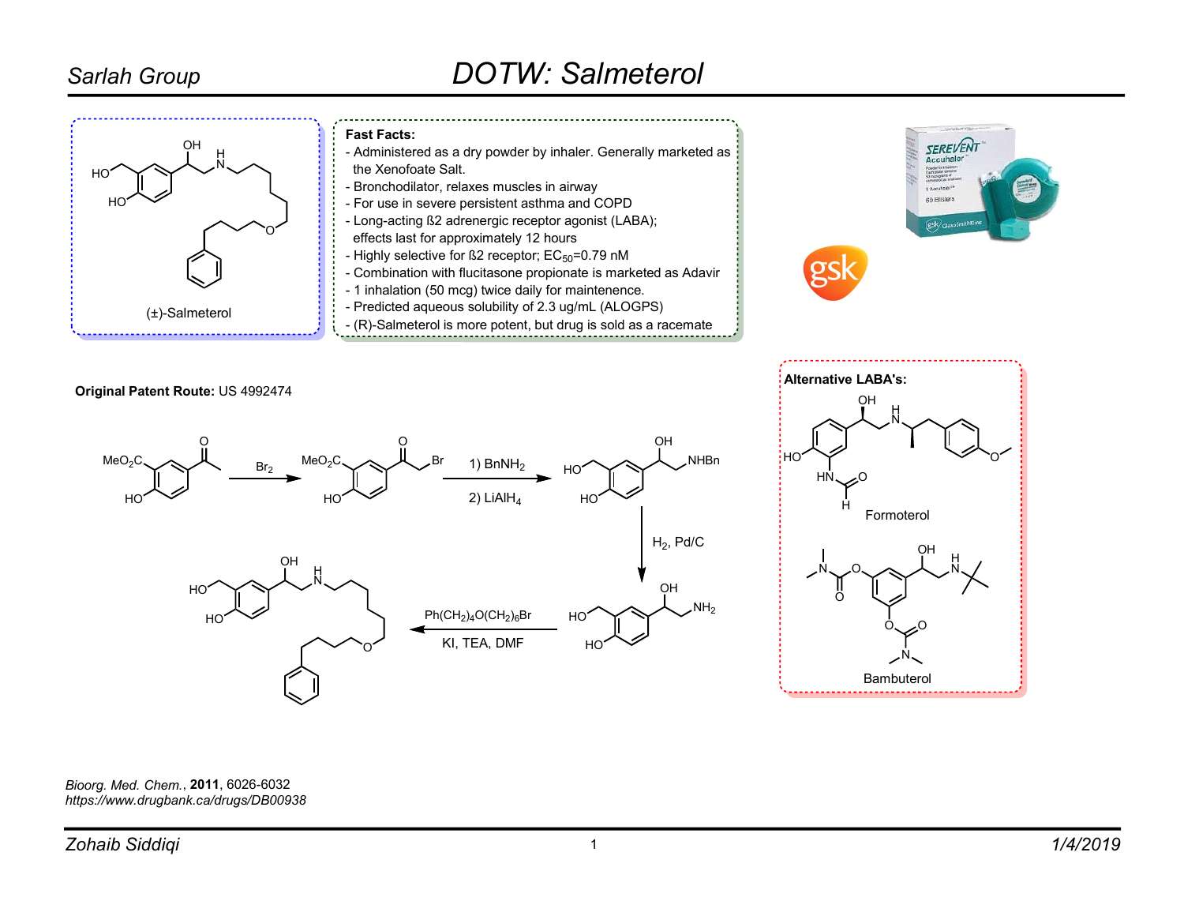### Sarlah Group

# DOTW: Salmeterol



Bioorg. Med. Chem., 2011, 6026-6032 https://www.drugbank.ca/drugs/DB00938